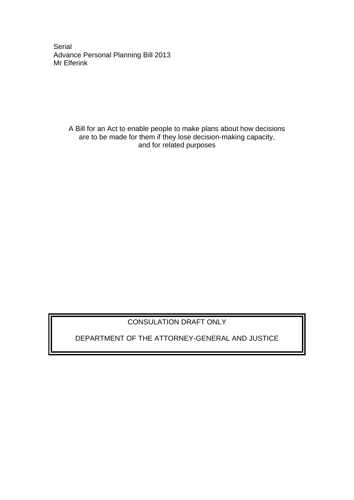**Serial** Advance Personal Planning Bill 2013 Mr Elferink

> A Bill for an Act to enable people to make plans about how decisions are to be made for them if they lose decision-making capacity, and for related purposes

# CONSULATION DRAFT ONLY

DEPARTMENT OF THE ATTORNEY-GENERAL AND JUSTICE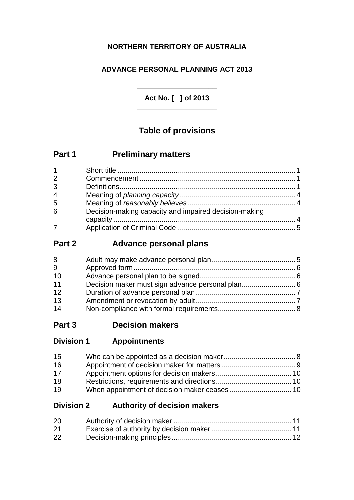## **NORTHERN TERRITORY OF AUSTRALIA**

## **ADVANCE PERSONAL PLANNING ACT 2013**

**Act No. [ ] of 2013** \_\_\_\_\_\_\_\_\_\_\_\_\_\_\_\_\_\_\_\_

\_\_\_\_\_\_\_\_\_\_\_\_\_\_\_\_\_\_\_\_

# **Table of provisions**

| Part 1<br><b>Preliminary matters</b> |
|--------------------------------------|
|--------------------------------------|

| 2              |                                                       |  |
|----------------|-------------------------------------------------------|--|
| 3              |                                                       |  |
| $\overline{4}$ |                                                       |  |
| 5              |                                                       |  |
| 6              | Decision-making capacity and impaired decision-making |  |
|                |                                                       |  |
|                |                                                       |  |

# **Part 2 Advance personal plans**

# **Part 3 Decision makers**

| <b>Division 1</b><br><b>Appointments</b> |
|------------------------------------------|
|------------------------------------------|

| 15 |  |
|----|--|
| 16 |  |
| 17 |  |
| 18 |  |
| 19 |  |

## **Division 2 Authority of decision makers**

| 20 |  |
|----|--|
| 21 |  |
| 22 |  |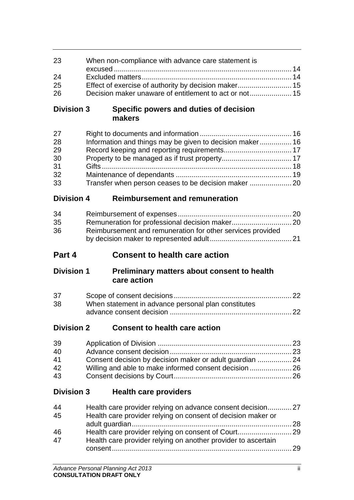| 23                | When non-compliance with advance care statement is                                                             |    |
|-------------------|----------------------------------------------------------------------------------------------------------------|----|
|                   |                                                                                                                |    |
| 24                |                                                                                                                |    |
| 25                | Effect of exercise of authority by decision maker 15<br>Decision maker unaware of entitlement to act or not 15 |    |
| 26                |                                                                                                                |    |
| <b>Division 3</b> | Specific powers and duties of decision<br>makers                                                               |    |
| 27                |                                                                                                                |    |
| 28                | Information and things may be given to decision maker 16                                                       |    |
| 29                |                                                                                                                |    |
| 30                |                                                                                                                |    |
| 31                |                                                                                                                |    |
| 32                |                                                                                                                |    |
| 33                | Transfer when person ceases to be decision maker                                                               |    |
| <b>Division 4</b> | <b>Reimbursement and remuneration</b>                                                                          |    |
| 34                |                                                                                                                |    |
| 35                |                                                                                                                |    |
| 36                | Reimbursement and remuneration for other services provided                                                     |    |
|                   |                                                                                                                |    |
| Part 4            | <b>Consent to health care action</b>                                                                           |    |
| <b>Division 1</b> | <b>Preliminary matters about consent to health</b><br>care action                                              |    |
|                   |                                                                                                                |    |
|                   |                                                                                                                |    |
| 37<br>38          |                                                                                                                |    |
|                   | When statement in advance personal plan constitutes                                                            |    |
| <b>Division 2</b> | <b>Consent to health care action</b>                                                                           |    |
| 39                |                                                                                                                |    |
| 40                |                                                                                                                |    |
| 41                | Consent decision by decision maker or adult guardian  24                                                       |    |
| 42                |                                                                                                                |    |
| 43                |                                                                                                                |    |
| <b>Division 3</b> | <b>Health care providers</b>                                                                                   |    |
| 44                | Health care provider relying on advance consent decision27                                                     |    |
| 45                | Health care provider relying on consent of decision maker or                                                   |    |
|                   |                                                                                                                |    |
| 46                |                                                                                                                |    |
| 47                | Health care provider relying on another provider to ascertain                                                  |    |
|                   |                                                                                                                |    |
|                   | Advance Personal Planning Act 2013                                                                             | Ϊİ |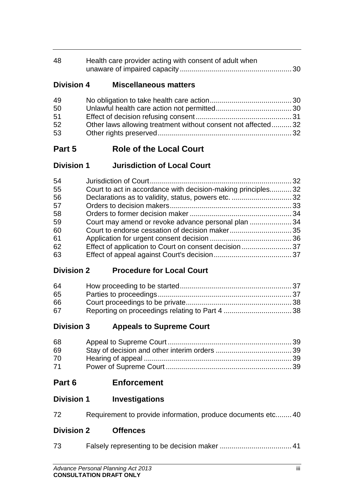| 48 | Health care provider acting with consent of adult when |  |
|----|--------------------------------------------------------|--|
|    |                                                        |  |

## **Division 4 Miscellaneous matters**

| 49 |                                                              |  |
|----|--------------------------------------------------------------|--|
| 50 |                                                              |  |
| 51 |                                                              |  |
| 52 | Other laws allowing treatment without consent not affected32 |  |
| 53 |                                                              |  |

# **Part 5 Role of the Local Court**

| <b>Division 1</b> | <b>Jurisdiction of Local Court</b> |
|-------------------|------------------------------------|
|-------------------|------------------------------------|

| 54 |                                                              |  |
|----|--------------------------------------------------------------|--|
| 55 | Court to act in accordance with decision-making principles32 |  |
| 56 |                                                              |  |
| 57 |                                                              |  |
| 58 |                                                              |  |
| 59 | Court may amend or revoke advance personal plan 34           |  |
| 60 |                                                              |  |
| 61 |                                                              |  |
| 62 |                                                              |  |
| 63 |                                                              |  |

## **Division 2 Procedure for Local Court**

| 64 |  |
|----|--|
| 65 |  |
| 66 |  |
| 67 |  |

# **Division 3 Appeals to Supreme Court**

| 68 |  |
|----|--|
| 69 |  |
| 70 |  |
| 71 |  |

- **Part 6 Enforcement**
- **Division 1 Investigations**

| 72<br>Requirement to provide information, produce documents etc40 |  |
|-------------------------------------------------------------------|--|
|-------------------------------------------------------------------|--|

# **Division 2 Offences**

| 73 |  |  |
|----|--|--|
|----|--|--|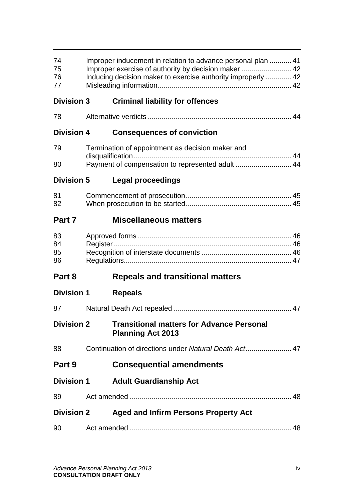| 74<br>75<br>76<br>77 | Improper inducement in relation to advance personal plan 41<br>Improper exercise of authority by decision maker  42<br>Inducing decision maker to exercise authority improperly  42 |                                                                              |  |  |
|----------------------|-------------------------------------------------------------------------------------------------------------------------------------------------------------------------------------|------------------------------------------------------------------------------|--|--|
| <b>Division 3</b>    |                                                                                                                                                                                     | <b>Criminal liability for offences</b>                                       |  |  |
| 78                   |                                                                                                                                                                                     |                                                                              |  |  |
| <b>Division 4</b>    |                                                                                                                                                                                     | <b>Consequences of conviction</b>                                            |  |  |
| 79                   | Termination of appointment as decision maker and                                                                                                                                    |                                                                              |  |  |
| 80                   |                                                                                                                                                                                     | Payment of compensation to represented adult  44                             |  |  |
| <b>Division 5</b>    |                                                                                                                                                                                     | Legal proceedings                                                            |  |  |
| 81<br>82             |                                                                                                                                                                                     |                                                                              |  |  |
| Part 7               |                                                                                                                                                                                     | <b>Miscellaneous matters</b>                                                 |  |  |
| 83<br>84<br>85<br>86 |                                                                                                                                                                                     |                                                                              |  |  |
| Part 8               |                                                                                                                                                                                     | <b>Repeals and transitional matters</b>                                      |  |  |
| <b>Division 1</b>    |                                                                                                                                                                                     | <b>Repeals</b>                                                               |  |  |
| 87                   |                                                                                                                                                                                     |                                                                              |  |  |
| <b>Division 2</b>    |                                                                                                                                                                                     | <b>Transitional matters for Advance Personal</b><br><b>Planning Act 2013</b> |  |  |
| 88                   |                                                                                                                                                                                     | Continuation of directions under Natural Death Act47                         |  |  |
| Part 9               |                                                                                                                                                                                     | <b>Consequential amendments</b>                                              |  |  |
| <b>Division 1</b>    |                                                                                                                                                                                     | <b>Adult Guardianship Act</b>                                                |  |  |
| 89                   |                                                                                                                                                                                     |                                                                              |  |  |
| <b>Division 2</b>    |                                                                                                                                                                                     | <b>Aged and Infirm Persons Property Act</b>                                  |  |  |
| 90                   |                                                                                                                                                                                     |                                                                              |  |  |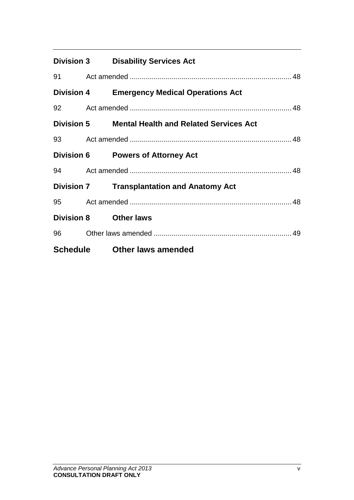|       | <b>Division 3 Disability Services Act</b>          |  |
|-------|----------------------------------------------------|--|
|       |                                                    |  |
|       | <b>Division 4 Emergency Medical Operations Act</b> |  |
|       |                                                    |  |
|       | Division 5 Mental Health and Related Services Act  |  |
|       |                                                    |  |
|       | <b>Division 6 Powers of Attorney Act</b>           |  |
|       |                                                    |  |
|       | <b>Division 7 Transplantation and Anatomy Act</b>  |  |
|       |                                                    |  |
|       | Division 8 Other laws                              |  |
| 96 10 |                                                    |  |
|       | Schedule Other laws amended                        |  |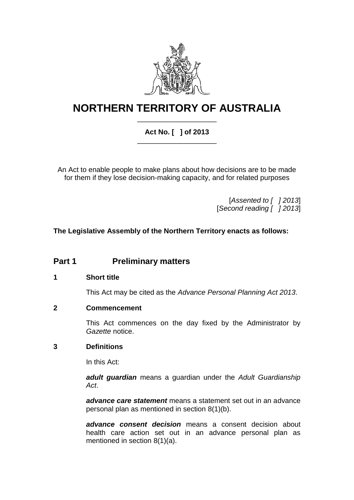

# **NORTHERN TERRITORY OF AUSTRALIA** \_\_\_\_\_\_\_\_\_\_\_\_\_\_\_\_\_\_\_\_

## **Act No. [ ] of 2013** \_\_\_\_\_\_\_\_\_\_\_\_\_\_\_\_\_\_\_\_

An Act to enable people to make plans about how decisions are to be made for them if they lose decision-making capacity, and for related purposes

> [*Assented to [ ] 2013*] [*Second reading [ ] 2013*]

**The Legislative Assembly of the Northern Territory enacts as follows:**

# **Part 1 Preliminary matters**

### **1 Short title**

This Act may be cited as the *Advance Personal Planning Act 2013*.

### **2 Commencement**

This Act commences on the day fixed by the Administrator by *Gazette* notice.

### **3 Definitions**

In this Act:

*adult guardian* means a guardian under the *Adult Guardianship Act*.

*advance care statement* means a statement set out in an advance personal plan as mentioned in section [8\(](#page-10-0)1)(b).

*advance consent decision* means a consent decision about health care action set out in an advance personal plan as mentioned in section [8\(](#page-10-0)1)(a).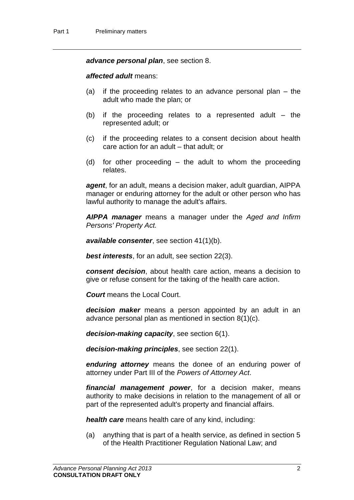*advance personal plan*, see section [8.](#page-10-0)

*affected adult* means:

- (a) if the proceeding relates to an advance personal plan the adult who made the plan; or
- (b) if the proceeding relates to a represented adult the represented adult; or
- (c) if the proceeding relates to a consent decision about health care action for an adult – that adult; or
- (d) for other proceeding the adult to whom the proceeding relates.

*agent*, for an adult, means a decision maker, adult guardian, AIPPA manager or enduring attorney for the adult or other person who has lawful authority to manage the adult's affairs.

*AIPPA manager* means a manager under the *Aged and Infirm Persons' Property Act.*

*available consenter*, see section [41\(](#page-29-0)1)(b).

*best interests*, for an adult, see section [22\(](#page-17-0)3).

*consent decision*, about health care action, means a decision to give or refuse consent for the taking of the health care action.

*Court* means the Local Court.

*decision maker* means a person appointed by an adult in an advance personal plan as mentioned in section [8\(](#page-10-0)1)(c).

*decision-making capacity*, see section [6\(](#page-9-0)1).

*decision-making principles*, see section [22\(](#page-17-0)1).

*enduring attorney* means the donee of an enduring power of attorney under Part III of the *Powers of Attorney Act*.

*financial management power*, for a decision maker, means authority to make decisions in relation to the management of all or part of the represented adult's property and financial affairs.

*health care* means health care of any kind, including:

(a) anything that is part of a health service, as defined in section 5 of the Health Practitioner Regulation National Law; and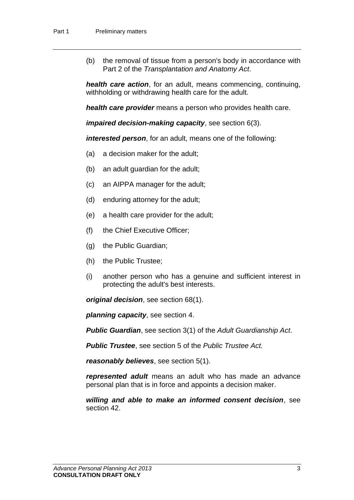(b) the removal of tissue from a person's body in accordance with Part 2 of the *Transplantation and Anatomy Act*.

*health care action*, for an adult, means commencing, continuing, withholding or withdrawing health care for the adult.

*health care provider* means a person who provides health care.

*impaired decision-making capacity*, see section [6\(](#page-9-0)3).

*interested person*, for an adult, means one of the following:

- (a) a decision maker for the adult;
- (b) an adult guardian for the adult;
- (c) an AIPPA manager for the adult;
- (d) enduring attorney for the adult;
- (e) a health care provider for the adult;
- (f) the Chief Executive Officer;
- (g) the Public Guardian;
- (h) the Public Trustee;
- (i) another person who has a genuine and sufficient interest in protecting the adult's best interests.

*original decision*, see section [68\(](#page-44-0)1).

*planning capacity*, see section [4.](#page-9-1)

*Public Guardian*, see section 3(1) of the *Adult Guardianship Act*.

*Public Trustee*, see section 5 of the *Public Trustee Act.*

*reasonably believes*, see section [5\(](#page-9-2)1).

*represented adult* means an adult who has made an advance personal plan that is in force and appoints a decision maker.

*willing and able to make an informed consent decision*, see section [42.](#page-31-0)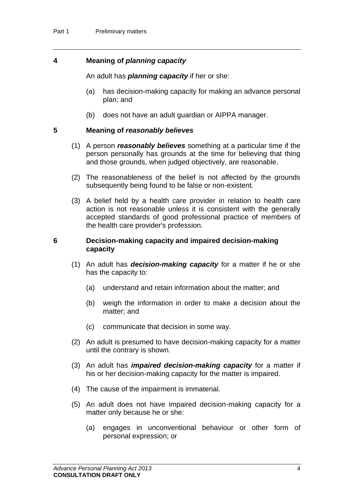### <span id="page-9-1"></span>**4 Meaning of** *planning capacity*

An adult has *planning capacity* if her or she:

- (a) has decision-making capacity for making an advance personal plan; and
- (b) does not have an adult guardian or AIPPA manager.

### <span id="page-9-2"></span>**5 Meaning of** *reasonably believes*

- (1) A person *reasonably believes* something at a particular time if the person personally has grounds at the time for believing that thing and those grounds, when judged objectively, are reasonable.
- (2) The reasonableness of the belief is not affected by the grounds subsequently being found to be false or non-existent.
- (3) A belief held by a health care provider in relation to health care action is not reasonable unless it is consistent with the generally accepted standards of good professional practice of members of the health care provider's profession.

#### <span id="page-9-0"></span>**6 Decision-making capacity and impaired decision-making capacity**

- (1) An adult has *decision-making capacity* for a matter if he or she has the capacity to:
	- (a) understand and retain information about the matter; and
	- (b) weigh the information in order to make a decision about the matter; and
	- (c) communicate that decision in some way.
- (2) An adult is presumed to have decision-making capacity for a matter until the contrary is shown.
- (3) An adult has *impaired decision-making capacity* for a matter if his or her decision-making capacity for the matter is impaired.
- (4) The cause of the impairment is immaterial.
- (5) An adult does not have impaired decision-making capacity for a matter only because he or she:
	- (a) engages in unconventional behaviour or other form of personal expression; or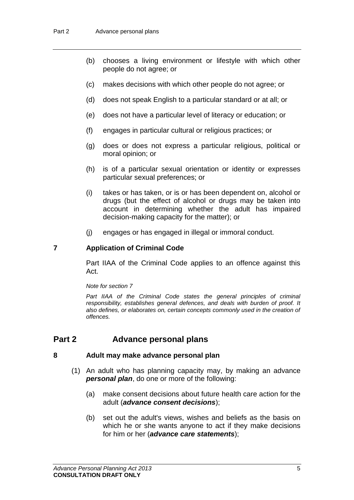- (b) chooses a living environment or lifestyle with which other people do not agree; or
- (c) makes decisions with which other people do not agree; or
- (d) does not speak English to a particular standard or at all; or
- (e) does not have a particular level of literacy or education; or
- (f) engages in particular cultural or religious practices; or
- (g) does or does not express a particular religious, political or moral opinion; or
- (h) is of a particular sexual orientation or identity or expresses particular sexual preferences; or
- (i) takes or has taken, or is or has been dependent on, alcohol or drugs (but the effect of alcohol or drugs may be taken into account in determining whether the adult has impaired decision-making capacity for the matter); or
- (j) engages or has engaged in illegal or immoral conduct.

#### <span id="page-10-1"></span>**7 Application of Criminal Code**

Part IIAA of the Criminal Code applies to an offence against this Act.

*Note for section [7](#page-10-1)*

Part IIAA of the Criminal Code states the general principles of criminal *responsibility, establishes general defences, and deals with burden of proof. It also defines, or elaborates on, certain concepts commonly used in the creation of offences.*

## **Part 2 Advance personal plans**

### <span id="page-10-0"></span>**8 Adult may make advance personal plan**

- (1) An adult who has planning capacity may, by making an advance *personal plan*, do one or more of the following:
	- (a) make consent decisions about future health care action for the adult (*advance consent decisions*);
	- (b) set out the adult's views, wishes and beliefs as the basis on which he or she wants anyone to act if they make decisions for him or her (*advance care statements*);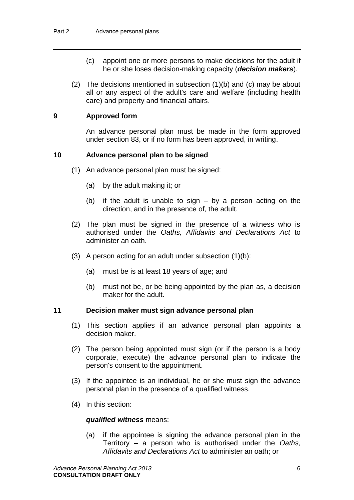- (c) appoint one or more persons to make decisions for the adult if he or she loses decision-making capacity (*decision makers*).
- (2) The decisions mentioned in subsection (1)(b) and (c) may be about all or any aspect of the adult's care and welfare (including health care) and property and financial affairs.

### <span id="page-11-0"></span>**9 Approved form**

An advance personal plan must be made in the form approved under section [83,](#page-51-0) or if no form has been approved, in writing.

## <span id="page-11-1"></span>**10 Advance personal plan to be signed**

- (1) An advance personal plan must be signed:
	- (a) by the adult making it; or
	- (b) if the adult is unable to sign by a person acting on the direction, and in the presence of, the adult.
- (2) The plan must be signed in the presence of a witness who is authorised under the *Oaths, Affidavits and Declarations Act* to administer an oath.
- (3) A person acting for an adult under subsection  $(1)(b)$ :
	- (a) must be is at least 18 years of age; and
	- (b) must not be, or be being appointed by the plan as, a decision maker for the adult.

### <span id="page-11-2"></span>**11 Decision maker must sign advance personal plan**

- (1) This section applies if an advance personal plan appoints a decision maker.
- (2) The person being appointed must sign (or if the person is a body corporate, execute) the advance personal plan to indicate the person's consent to the appointment.
- (3) If the appointee is an individual, he or she must sign the advance personal plan in the presence of a qualified witness.
- (4) In this section:

#### *qualified witness* means:

(a) if the appointee is signing the advance personal plan in the Territory – a person who is authorised under the *Oaths, Affidavits and Declarations Act* to administer an oath; or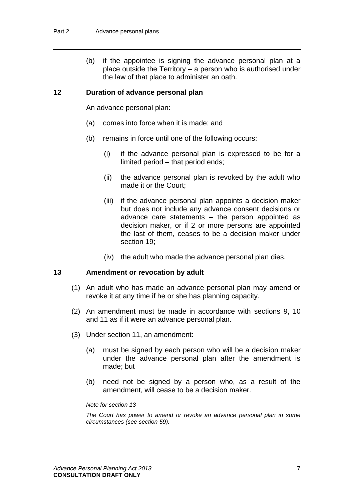(b) if the appointee is signing the advance personal plan at a place outside the Territory – a person who is authorised under the law of that place to administer an oath.

#### **12 Duration of advance personal plan**

An advance personal plan:

- (a) comes into force when it is made; and
- (b) remains in force until one of the following occurs:
	- (i) if the advance personal plan is expressed to be for a limited period – that period ends;
	- (ii) the advance personal plan is revoked by the adult who made it or the Court;
	- (iii) if the advance personal plan appoints a decision maker but does not include any advance consent decisions or advance care statements – the person appointed as decision maker, or if 2 or more persons are appointed the last of them, ceases to be a decision maker under section [19;](#page-15-0)
	- (iv) the adult who made the advance personal plan dies.

#### <span id="page-12-0"></span>**13 Amendment or revocation by adult**

- (1) An adult who has made an advance personal plan may amend or revoke it at any time if he or she has planning capacity.
- (2) An amendment must be made in accordance with sections [9,](#page-11-0) [10](#page-11-1) and [11](#page-11-2) as if it were an advance personal plan.
- (3) Under section [11,](#page-11-2) an amendment:
	- (a) must be signed by each person who will be a decision maker under the advance personal plan after the amendment is made; but
	- (b) need not be signed by a person who, as a result of the amendment, will cease to be a decision maker.

#### *Note for section [13](#page-12-0)*

*The Court has power to amend or revoke an advance personal plan in some circumstances (see section [59\)](#page-39-0).*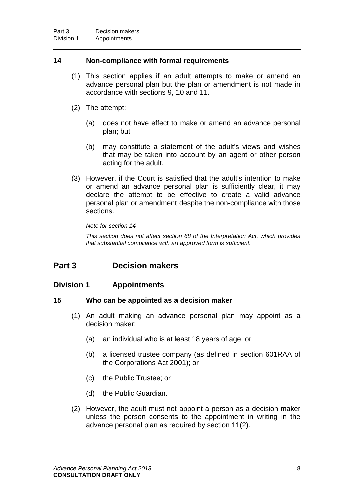### <span id="page-13-0"></span>**14 Non-compliance with formal requirements**

- (1) This section applies if an adult attempts to make or amend an advance personal plan but the plan or amendment is not made in accordance with sections [9,](#page-11-0) [10](#page-11-1) and [11.](#page-11-2)
- (2) The attempt:
	- (a) does not have effect to make or amend an advance personal plan; but
	- (b) may constitute a statement of the adult's views and wishes that may be taken into account by an agent or other person acting for the adult.
- (3) However, if the Court is satisfied that the adult's intention to make or amend an advance personal plan is sufficiently clear, it may declare the attempt to be effective to create a valid advance personal plan or amendment despite the non-compliance with those sections.

*Note for section [14](#page-13-0)*

*This section does not affect section 68 of the Interpretation Act, which provides that substantial compliance with an approved form is sufficient.*

## **Part 3 Decision makers**

## **Division 1 Appointments**

### **15 Who can be appointed as a decision maker**

- (1) An adult making an advance personal plan may appoint as a decision maker:
	- (a) an individual who is at least 18 years of age; or
	- (b) a licensed trustee company (as defined in section 601RAA of the Corporations Act 2001); or
	- (c) the Public Trustee; or
	- (d) the Public Guardian.
- (2) However, the adult must not appoint a person as a decision maker unless the person consents to the appointment in writing in the advance personal plan as required by section [11\(](#page-11-2)2).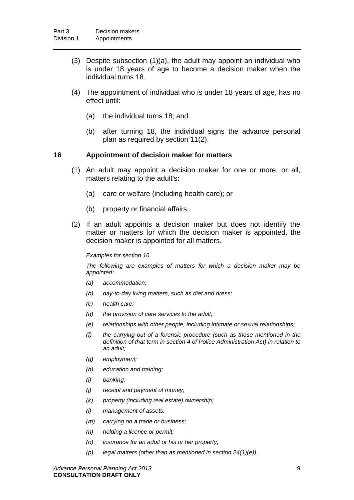- (3) Despite subsection (1)(a), the adult may appoint an individual who is under 18 years of age to become a decision maker when the individual turns 18.
- (4) The appointment of individual who is under 18 years of age, has no effect until:
	- (a) the individual turns 18; and
	- (b) after turning 18, the individual signs the advance personal plan as required by section [11\(](#page-11-2)2).

### <span id="page-14-0"></span>**16 Appointment of decision maker for matters**

- (1) An adult may appoint a decision maker for one or more, or all, matters relating to the adult's:
	- (a) care or welfare (including health care); or
	- (b) property or financial affairs.
- (2) If an adult appoints a decision maker but does not identify the matter or matters for which the decision maker is appointed, the decision maker is appointed for all matters.

#### *Examples for section [16](#page-14-0)*

*The following are examples of matters for which a decision maker may be appointed:*

- *(a) accommodation;*
- *(b) day-to-day living matters, such as diet and dress;*
- *(c) health care;*
- *(d) the provision of care services to the adult;*
- *(e) relationships with other people, including intimate or sexual relationships;*
- *(f) the carrying out of a forensic procedure (such as those mentioned in the definition of that term in section 4 of Police Administration Act) in relation to an adult;*
- *(g) employment;*
- *(h) education and training;*
- *(i) banking;*
- *(j) receipt and payment of money;*
- *(k) property (including real estate) ownership;*
- *(l) management of assets;*
- *(m) carrying on a trade or business;*
- *(n) holding a licence or permit;*
- *(o) insurance for an adult or his or her property;*
- *(p) legal matters (other than as mentioned in section [24\(](#page-19-0)1)(e)).*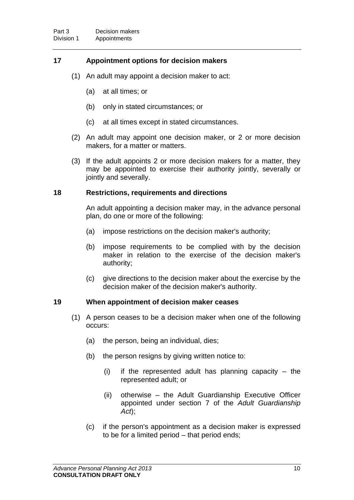## **17 Appointment options for decision makers**

- (1) An adult may appoint a decision maker to act:
	- (a) at all times; or
	- (b) only in stated circumstances; or
	- (c) at all times except in stated circumstances.
- (2) An adult may appoint one decision maker, or 2 or more decision makers, for a matter or matters.
- (3) If the adult appoints 2 or more decision makers for a matter, they may be appointed to exercise their authority jointly, severally or jointly and severally.

#### <span id="page-15-1"></span>**18 Restrictions, requirements and directions**

An adult appointing a decision maker may, in the advance personal plan, do one or more of the following:

- (a) impose restrictions on the decision maker's authority;
- (b) impose requirements to be complied with by the decision maker in relation to the exercise of the decision maker's authority;
- (c) give directions to the decision maker about the exercise by the decision maker of the decision maker's authority.

### <span id="page-15-0"></span>**19 When appointment of decision maker ceases**

- (1) A person ceases to be a decision maker when one of the following occurs:
	- (a) the person, being an individual, dies;
	- (b) the person resigns by giving written notice to:
		- $(i)$  if the represented adult has planning capacity the represented adult; or
		- (ii) otherwise the Adult Guardianship Executive Officer appointed under section 7 of the *Adult Guardianship Act*);
	- (c) if the person's appointment as a decision maker is expressed to be for a limited period – that period ends;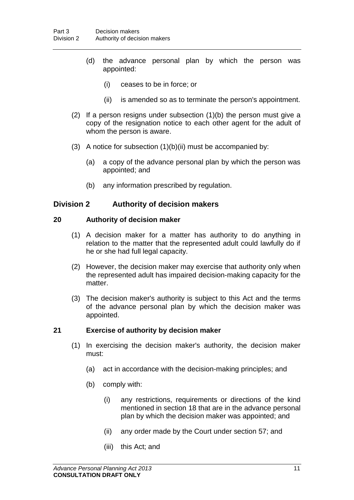- (d) the advance personal plan by which the person was appointed:
	- (i) ceases to be in force; or
	- (ii) is amended so as to terminate the person's appointment.
- (2) If a person resigns under subsection (1)(b) the person must give a copy of the resignation notice to each other agent for the adult of whom the person is aware.
- (3) A notice for subsection (1)(b)(ii) must be accompanied by:
	- (a) a copy of the advance personal plan by which the person was appointed; and
	- (b) any information prescribed by regulation.

### **Division 2 Authority of decision makers**

#### <span id="page-16-0"></span>**20 Authority of decision maker**

- (1) A decision maker for a matter has authority to do anything in relation to the matter that the represented adult could lawfully do if he or she had full legal capacity.
- (2) However, the decision maker may exercise that authority only when the represented adult has impaired decision-making capacity for the matter.
- (3) The decision maker's authority is subject to this Act and the terms of the advance personal plan by which the decision maker was appointed.

### <span id="page-16-1"></span>**21 Exercise of authority by decision maker**

- (1) In exercising the decision maker's authority, the decision maker must:
	- (a) act in accordance with the decision-making principles; and
	- (b) comply with:
		- (i) any restrictions, requirements or directions of the kind mentioned in section [18](#page-15-1) that are in the advance personal plan by which the decision maker was appointed; and
		- (ii) any order made by the Court under section [57;](#page-38-0) and
		- (iii) this Act; and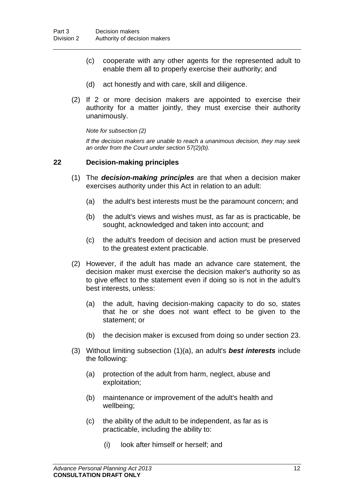- (c) cooperate with any other agents for the represented adult to enable them all to properly exercise their authority; and
- (d) act honestly and with care, skill and diligence.
- (2) If 2 or more decision makers are appointed to exercise their authority for a matter jointly, they must exercise their authority unanimously.

*Note for subsection (2)*

*If the decision makers are unable to reach a unanimous decision, they may seek an order from the Court under section [57\(](#page-38-0)2)(b).*

#### <span id="page-17-0"></span>**22 Decision-making principles**

- (1) The *decision-making principles* are that when a decision maker exercises authority under this Act in relation to an adult:
	- (a) the adult's best interests must be the paramount concern; and
	- (b) the adult's views and wishes must, as far as is practicable, be sought, acknowledged and taken into account; and
	- (c) the adult's freedom of decision and action must be preserved to the greatest extent practicable.
- (2) However, if the adult has made an advance care statement, the decision maker must exercise the decision maker's authority so as to give effect to the statement even if doing so is not in the adult's best interests, unless:
	- (a) the adult, having decision-making capacity to do so, states that he or she does not want effect to be given to the statement; or
	- (b) the decision maker is excused from doing so under section [23.](#page-19-1)
- (3) Without limiting subsection (1)(a), an adult's *best interests* include the following:
	- (a) protection of the adult from harm, neglect, abuse and exploitation;
	- (b) maintenance or improvement of the adult's health and wellbeing;
	- (c) the ability of the adult to be independent, as far as is practicable, including the ability to:
		- (i) look after himself or herself; and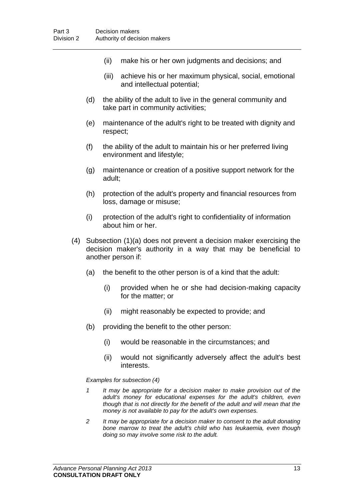- (ii) make his or her own judgments and decisions; and
- (iii) achieve his or her maximum physical, social, emotional and intellectual potential;
- (d) the ability of the adult to live in the general community and take part in community activities;
- (e) maintenance of the adult's right to be treated with dignity and respect;
- (f) the ability of the adult to maintain his or her preferred living environment and lifestyle;
- (g) maintenance or creation of a positive support network for the adult;
- (h) protection of the adult's property and financial resources from loss, damage or misuse;
- (i) protection of the adult's right to confidentiality of information about him or her.
- (4) Subsection (1)(a) does not prevent a decision maker exercising the decision maker's authority in a way that may be beneficial to another person if:
	- (a) the benefit to the other person is of a kind that the adult:
		- (i) provided when he or she had decision-making capacity for the matter; or
		- (ii) might reasonably be expected to provide; and
	- (b) providing the benefit to the other person:
		- (i) would be reasonable in the circumstances; and
		- (ii) would not significantly adversely affect the adult's best interests.

*Examples for subsection (4)*

- *1 It may be appropriate for a decision maker to make provision out of the adult's money for educational expenses for the adult's children, even though that is not directly for the benefit of the adult and will mean that the money is not available to pay for the adult's own expenses.*
- *2 It may be appropriate for a decision maker to consent to the adult donating bone marrow to treat the adult's child who has leukaemia, even though doing so may involve some risk to the adult.*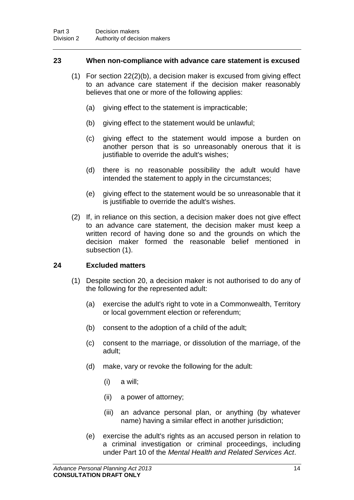#### <span id="page-19-1"></span>**23 When non-compliance with advance care statement is excused**

- (1) For section [22\(](#page-17-0)2)(b), a decision maker is excused from giving effect to an advance care statement if the decision maker reasonably believes that one or more of the following applies:
	- (a) giving effect to the statement is impracticable;
	- (b) giving effect to the statement would be unlawful;
	- (c) giving effect to the statement would impose a burden on another person that is so unreasonably onerous that it is justifiable to override the adult's wishes:
	- (d) there is no reasonable possibility the adult would have intended the statement to apply in the circumstances;
	- (e) giving effect to the statement would be so unreasonable that it is justifiable to override the adult's wishes.
- (2) If, in reliance on this section, a decision maker does not give effect to an advance care statement, the decision maker must keep a written record of having done so and the grounds on which the decision maker formed the reasonable belief mentioned in subsection (1).

### <span id="page-19-0"></span>**24 Excluded matters**

- (1) Despite section [20,](#page-16-0) a decision maker is not authorised to do any of the following for the represented adult:
	- (a) exercise the adult's right to vote in a Commonwealth, Territory or local government election or referendum;
	- (b) consent to the adoption of a child of the adult;
	- (c) consent to the marriage, or dissolution of the marriage, of the adult;
	- (d) make, vary or revoke the following for the adult:
		- (i) a will;
		- (ii) a power of attorney;
		- (iii) an advance personal plan, or anything (by whatever name) having a similar effect in another jurisdiction;
	- (e) exercise the adult's rights as an accused person in relation to a criminal investigation or criminal proceedings, including under Part 10 of the *Mental Health and Related Services Act*.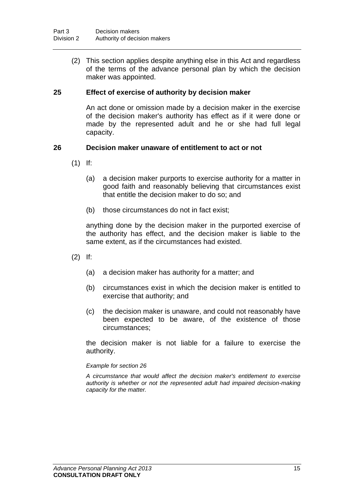(2) This section applies despite anything else in this Act and regardless of the terms of the advance personal plan by which the decision maker was appointed.

### **25 Effect of exercise of authority by decision maker**

An act done or omission made by a decision maker in the exercise of the decision maker's authority has effect as if it were done or made by the represented adult and he or she had full legal capacity.

#### <span id="page-20-0"></span>**26 Decision maker unaware of entitlement to act or not**

- (1) If:
	- (a) a decision maker purports to exercise authority for a matter in good faith and reasonably believing that circumstances exist that entitle the decision maker to do so; and
	- (b) those circumstances do not in fact exist;

anything done by the decision maker in the purported exercise of the authority has effect, and the decision maker is liable to the same extent, as if the circumstances had existed.

- (2) If:
	- (a) a decision maker has authority for a matter; and
	- (b) circumstances exist in which the decision maker is entitled to exercise that authority; and
	- (c) the decision maker is unaware, and could not reasonably have been expected to be aware, of the existence of those circumstances;

the decision maker is not liable for a failure to exercise the authority.

#### *Example for section [26](#page-20-0)*

*A circumstance that would affect the decision maker's entitlement to exercise authority is whether or not the represented adult had impaired decision-making capacity for the matter.*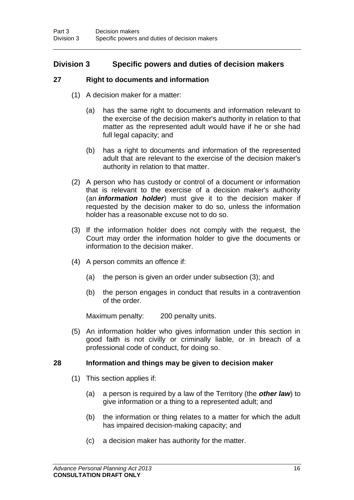## **Division 3 Specific powers and duties of decision makers**

## **27 Right to documents and information**

- (1) A decision maker for a matter:
	- (a) has the same right to documents and information relevant to the exercise of the decision maker's authority in relation to that matter as the represented adult would have if he or she had full legal capacity; and
	- (b) has a right to documents and information of the represented adult that are relevant to the exercise of the decision maker's authority in relation to that matter.
- (2) A person who has custody or control of a document or information that is relevant to the exercise of a decision maker's authority (an *information holder*) must give it to the decision maker if requested by the decision maker to do so, unless the information holder has a reasonable excuse not to do so.
- (3) If the information holder does not comply with the request, the Court may order the information holder to give the documents or information to the decision maker.
- (4) A person commits an offence if:
	- (a) the person is given an order under subsection (3); and
	- (b) the person engages in conduct that results in a contravention of the order.

Maximum penalty: 200 penalty units.

(5) An information holder who gives information under this section in good faith is not civilly or criminally liable, or in breach of a professional code of conduct, for doing so.

## **28 Information and things may be given to decision maker**

- (1) This section applies if:
	- (a) a person is required by a law of the Territory (the *other law*) to give information or a thing to a represented adult; and
	- (b) the information or thing relates to a matter for which the adult has impaired decision-making capacity; and
	- (c) a decision maker has authority for the matter.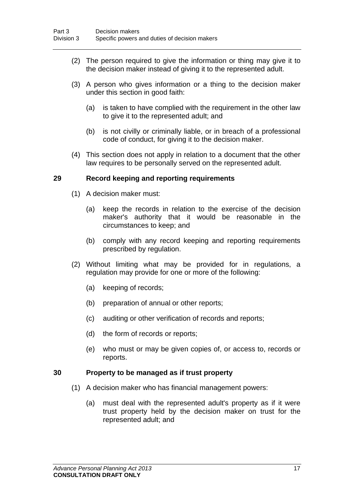- (2) The person required to give the information or thing may give it to the decision maker instead of giving it to the represented adult.
- (3) A person who gives information or a thing to the decision maker under this section in good faith:
	- (a) is taken to have complied with the requirement in the other law to give it to the represented adult; and
	- (b) is not civilly or criminally liable, or in breach of a professional code of conduct, for giving it to the decision maker.
- (4) This section does not apply in relation to a document that the other law requires to be personally served on the represented adult.

### **29 Record keeping and reporting requirements**

- (1) A decision maker must:
	- (a) keep the records in relation to the exercise of the decision maker's authority that it would be reasonable in the circumstances to keep; and
	- (b) comply with any record keeping and reporting requirements prescribed by regulation.
- (2) Without limiting what may be provided for in regulations, a regulation may provide for one or more of the following:
	- (a) keeping of records;
	- (b) preparation of annual or other reports;
	- (c) auditing or other verification of records and reports;
	- (d) the form of records or reports;
	- (e) who must or may be given copies of, or access to, records or reports.

### <span id="page-22-0"></span>**30 Property to be managed as if trust property**

- (1) A decision maker who has financial management powers:
	- (a) must deal with the represented adult's property as if it were trust property held by the decision maker on trust for the represented adult; and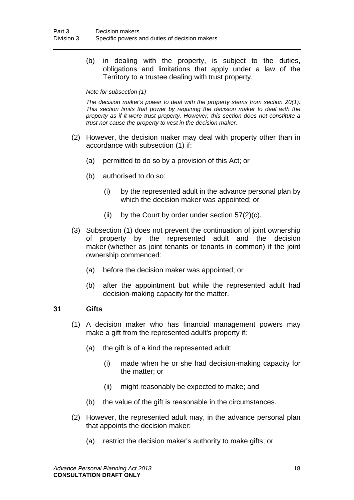(b) in dealing with the property, is subject to the duties, obligations and limitations that apply under a law of the Territory to a trustee dealing with trust property.

#### *Note for subsection (1)*

*The decision maker's power to deal with the property stems from section [20\(](#page-16-0)1). This section limits that power by requiring the decision maker to deal with the property as if it were trust property. However, this section does not constitute a trust nor cause the property to vest in the decision maker.*

- (2) However, the decision maker may deal with property other than in accordance with subsection (1) if:
	- (a) permitted to do so by a provision of this Act; or
	- (b) authorised to do so:
		- (i) by the represented adult in the advance personal plan by which the decision maker was appointed; or
		- (ii) by the Court by order under section  $57(2)(c)$ .
- (3) Subsection (1) does not prevent the continuation of joint ownership of property by the represented adult and the decision maker (whether as joint tenants or tenants in common) if the joint ownership commenced:
	- (a) before the decision maker was appointed; or
	- (b) after the appointment but while the represented adult had decision-making capacity for the matter.

#### <span id="page-23-0"></span>**31 Gifts**

- (1) A decision maker who has financial management powers may make a gift from the represented adult's property if:
	- (a) the gift is of a kind the represented adult:
		- (i) made when he or she had decision-making capacity for the matter; or
		- (ii) might reasonably be expected to make; and
	- (b) the value of the gift is reasonable in the circumstances.
- (2) However, the represented adult may, in the advance personal plan that appoints the decision maker:
	- (a) restrict the decision maker's authority to make gifts; or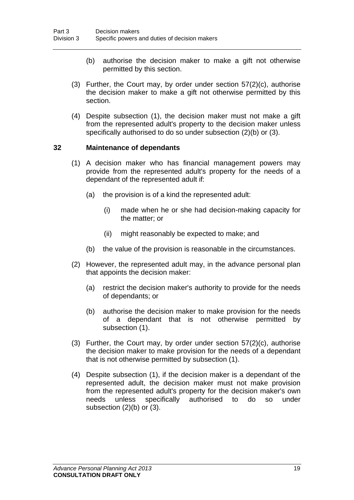- (b) authorise the decision maker to make a gift not otherwise permitted by this section.
- (3) Further, the Court may, by order under section [57\(](#page-38-0)2)(c), authorise the decision maker to make a gift not otherwise permitted by this section.
- (4) Despite subsection (1), the decision maker must not make a gift from the represented adult's property to the decision maker unless specifically authorised to do so under subsection (2)(b) or (3).

#### <span id="page-24-0"></span>**32 Maintenance of dependants**

- (1) A decision maker who has financial management powers may provide from the represented adult's property for the needs of a dependant of the represented adult if:
	- (a) the provision is of a kind the represented adult:
		- (i) made when he or she had decision-making capacity for the matter; or
		- (ii) might reasonably be expected to make; and
	- (b) the value of the provision is reasonable in the circumstances.
- (2) However, the represented adult may, in the advance personal plan that appoints the decision maker:
	- (a) restrict the decision maker's authority to provide for the needs of dependants; or
	- (b) authorise the decision maker to make provision for the needs of a dependant that is not otherwise permitted by subsection (1).
- (3) Further, the Court may, by order under section  $57(2)(c)$ , authorise the decision maker to make provision for the needs of a dependant that is not otherwise permitted by subsection (1).
- (4) Despite subsection (1), if the decision maker is a dependant of the represented adult, the decision maker must not make provision from the represented adult's property for the decision maker's own needs unless specifically authorised to do so under subsection (2)(b) or (3).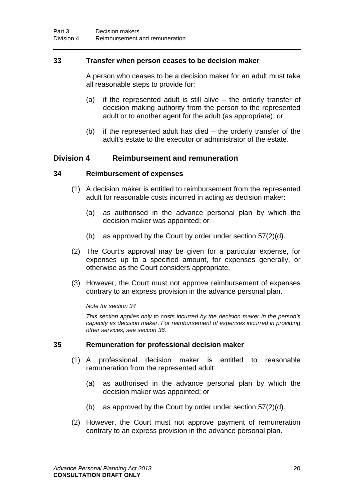### **33 Transfer when person ceases to be decision maker**

A person who ceases to be a decision maker for an adult must take all reasonable steps to provide for:

- (a) if the represented adult is still alive the orderly transfer of decision making authority from the person to the represented adult or to another agent for the adult (as appropriate); or
- (b) if the represented adult has died the orderly transfer of the adult's estate to the executor or administrator of the estate.

## **Division 4 Reimbursement and remuneration**

### <span id="page-25-0"></span>**34 Reimbursement of expenses**

- (1) A decision maker is entitled to reimbursement from the represented adult for reasonable costs incurred in acting as decision maker:
	- (a) as authorised in the advance personal plan by which the decision maker was appointed; or
	- (b) as approved by the Court by order under section [57\(](#page-38-0)2)(d).
- (2) The Court's approval may be given for a particular expense, for expenses up to a specified amount, for expenses generally, or otherwise as the Court considers appropriate.
- (3) However, the Court must not approve reimbursement of expenses contrary to an express provision in the advance personal plan.

#### *Note for section [34](#page-25-0)*

*This section applies only to costs incurred by the decision maker in the person's capacity as decision maker. For reimbursement of expenses incurred in providing other services, see section [36.](#page-26-0)*

#### <span id="page-25-1"></span>**35 Remuneration for professional decision maker**

- (1) A professional decision maker is entitled to reasonable remuneration from the represented adult:
	- (a) as authorised in the advance personal plan by which the decision maker was appointed; or
	- (b) as approved by the Court by order under section [57\(](#page-38-0)2)(d).
- (2) However, the Court must not approve payment of remuneration contrary to an express provision in the advance personal plan.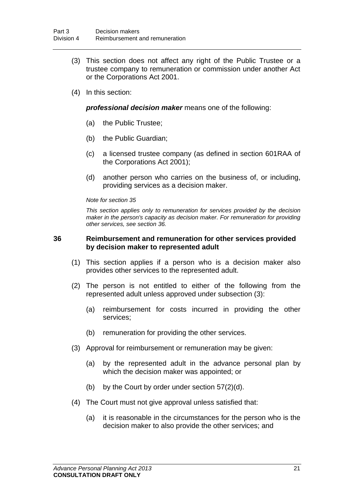- (3) This section does not affect any right of the Public Trustee or a trustee company to remuneration or commission under another Act or the Corporations Act 2001.
- (4) In this section:

*professional decision maker* means one of the following:

- (a) the Public Trustee;
- (b) the Public Guardian;
- (c) a licensed trustee company (as defined in section 601RAA of the Corporations Act 2001);
- (d) another person who carries on the business of, or including, providing services as a decision maker.

#### *Note for section [35](#page-25-1)*

*This section applies only to remuneration for services provided by the decision maker in the person's capacity as decision maker. For remuneration for providing other services, see section [36.](#page-26-0)*

#### <span id="page-26-0"></span>**36 Reimbursement and remuneration for other services provided by decision maker to represented adult**

- (1) This section applies if a person who is a decision maker also provides other services to the represented adult.
- (2) The person is not entitled to either of the following from the represented adult unless approved under subsection (3):
	- (a) reimbursement for costs incurred in providing the other services;
	- (b) remuneration for providing the other services.
- (3) Approval for reimbursement or remuneration may be given:
	- (a) by the represented adult in the advance personal plan by which the decision maker was appointed; or
	- (b) by the Court by order under section [57\(](#page-38-0)2)(d).
- (4) The Court must not give approval unless satisfied that:
	- (a) it is reasonable in the circumstances for the person who is the decision maker to also provide the other services; and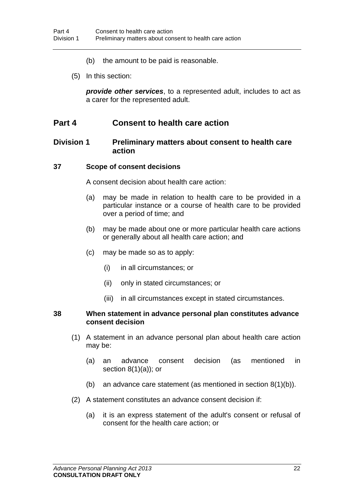- (b) the amount to be paid is reasonable.
- (5) In this section:

*provide other services*, to a represented adult, includes to act as a carer for the represented adult.

## **Part 4 Consent to health care action**

## **Division 1 Preliminary matters about consent to health care action**

#### **37 Scope of consent decisions**

A consent decision about health care action:

- (a) may be made in relation to health care to be provided in a particular instance or a course of health care to be provided over a period of time; and
- (b) may be made about one or more particular health care actions or generally about all health care action; and
- (c) may be made so as to apply:
	- (i) in all circumstances; or
	- (ii) only in stated circumstances; or
	- (iii) in all circumstances except in stated circumstances.

#### **38 When statement in advance personal plan constitutes advance consent decision**

- (1) A statement in an advance personal plan about health care action may be:
	- (a) an advance consent decision (as mentioned in section  $8(1)(a)$  $8(1)(a)$ ; or
	- (b) an advance care statement (as mentioned in section  $8(1)(b)$ ).
- (2) A statement constitutes an advance consent decision if:
	- (a) it is an express statement of the adult's consent or refusal of consent for the health care action; or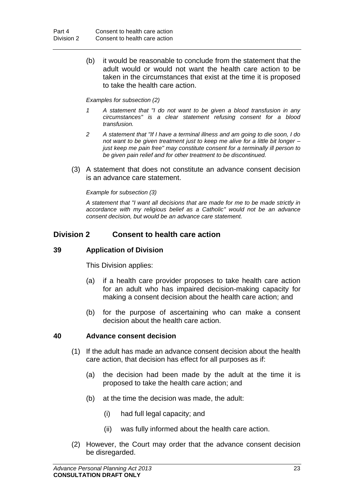(b) it would be reasonable to conclude from the statement that the adult would or would not want the health care action to be taken in the circumstances that exist at the time it is proposed to take the health care action.

#### *Examples for subsection (2)*

- *1 A statement that "I do not want to be given a blood transfusion in any circumstances" is a clear statement refusing consent for a blood transfusion.*
- *2 A statement that "If I have a terminal illness and am going to die soon, I do not want to be given treatment just to keep me alive for a little bit longer – just keep me pain free" may constitute consent for a terminally ill person to be given pain relief and for other treatment to be discontinued.*
- (3) A statement that does not constitute an advance consent decision is an advance care statement.

#### *Example for subsection (3)*

*A statement that "I want all decisions that are made for me to be made strictly in accordance with my religious belief as a Catholic" would not be an advance consent decision, but would be an advance care statement.*

## **Division 2 Consent to health care action**

## **39 Application of Division**

This Division applies:

- (a) if a health care provider proposes to take health care action for an adult who has impaired decision-making capacity for making a consent decision about the health care action; and
- (b) for the purpose of ascertaining who can make a consent decision about the health care action.

#### <span id="page-28-0"></span>**40 Advance consent decision**

- (1) If the adult has made an advance consent decision about the health care action, that decision has effect for all purposes as if:
	- (a) the decision had been made by the adult at the time it is proposed to take the health care action; and
	- (b) at the time the decision was made, the adult:
		- (i) had full legal capacity; and
		- (ii) was fully informed about the health care action.
- (2) However, the Court may order that the advance consent decision be disregarded.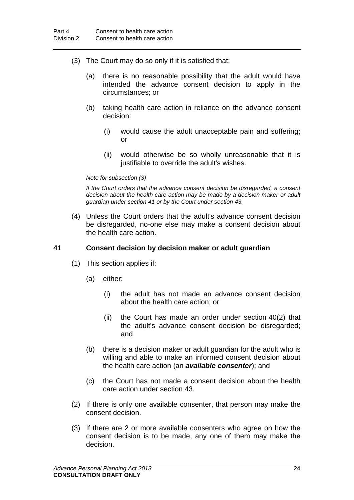- (3) The Court may do so only if it is satisfied that:
	- (a) there is no reasonable possibility that the adult would have intended the advance consent decision to apply in the circumstances; or
	- (b) taking health care action in reliance on the advance consent decision:
		- (i) would cause the adult unacceptable pain and suffering; or
		- (ii) would otherwise be so wholly unreasonable that it is justifiable to override the adult's wishes.

#### *Note for subsection (3)*

*If the Court orders that the advance consent decision be disregarded, a consent decision about the health care action may be made by a decision maker or adult guardian under section [41](#page-29-0) or by the Court under section [43.](#page-31-1)*

(4) Unless the Court orders that the adult's advance consent decision be disregarded, no-one else may make a consent decision about the health care action.

### <span id="page-29-0"></span>**41 Consent decision by decision maker or adult guardian**

- (1) This section applies if:
	- (a) either:
		- (i) the adult has not made an advance consent decision about the health care action; or
		- (ii) the Court has made an order under section [40\(](#page-28-0)2) that the adult's advance consent decision be disregarded; and
	- (b) there is a decision maker or adult guardian for the adult who is willing and able to make an informed consent decision about the health care action (an *available consenter*); and
	- (c) the Court has not made a consent decision about the health care action under section [43.](#page-31-1)
- (2) If there is only one available consenter, that person may make the consent decision.
- (3) If there are 2 or more available consenters who agree on how the consent decision is to be made, any one of them may make the decision.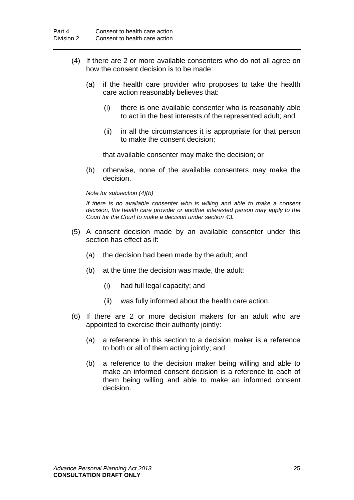- (4) If there are 2 or more available consenters who do not all agree on how the consent decision is to be made:
	- (a) if the health care provider who proposes to take the health care action reasonably believes that:
		- (i) there is one available consenter who is reasonably able to act in the best interests of the represented adult; and
		- (ii) in all the circumstances it is appropriate for that person to make the consent decision;

that available consenter may make the decision; or

(b) otherwise, none of the available consenters may make the decision.

*Note for subsection (4)(b)*

*If there is no available consenter who is willing and able to make a consent decision, the health care provider or another interested person may apply to the Court for the Court to make a decision under section [43.](#page-31-1)*

- (5) A consent decision made by an available consenter under this section has effect as if:
	- (a) the decision had been made by the adult; and
	- (b) at the time the decision was made, the adult:
		- (i) had full legal capacity; and
		- (ii) was fully informed about the health care action.
- (6) If there are 2 or more decision makers for an adult who are appointed to exercise their authority jointly:
	- (a) a reference in this section to a decision maker is a reference to both or all of them acting jointly; and
	- (b) a reference to the decision maker being willing and able to make an informed consent decision is a reference to each of them being willing and able to make an informed consent decision.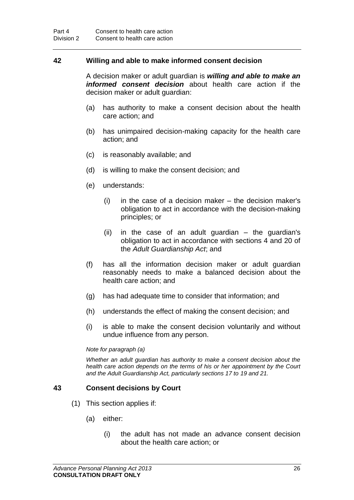### <span id="page-31-0"></span>**42 Willing and able to make informed consent decision**

A decision maker or adult guardian is *willing and able to make an informed consent decision* about health care action if the decision maker or adult guardian:

- (a) has authority to make a consent decision about the health care action; and
- (b) has unimpaired decision-making capacity for the health care action; and
- (c) is reasonably available; and
- (d) is willing to make the consent decision; and
- (e) understands:
	- (i) in the case of a decision maker the decision maker's obligation to act in accordance with the decision-making principles; or
	- (ii) in the case of an adult guardian the guardian's obligation to act in accordance with sections 4 and 20 of the *Adult Guardianship Act*; and
- (f) has all the information decision maker or adult guardian reasonably needs to make a balanced decision about the health care action; and
- (g) has had adequate time to consider that information; and
- (h) understands the effect of making the consent decision; and
- (i) is able to make the consent decision voluntarily and without undue influence from any person.

#### *Note for paragraph (a)*

*Whether an adult guardian has authority to make a consent decision about the health care action depends on the terms of his or her appointment by the Court and the Adult Guardianship Act, particularly sections 17 to 19 and 21.*

### <span id="page-31-1"></span>**43 Consent decisions by Court**

- (1) This section applies if:
	- (a) either:
		- (i) the adult has not made an advance consent decision about the health care action; or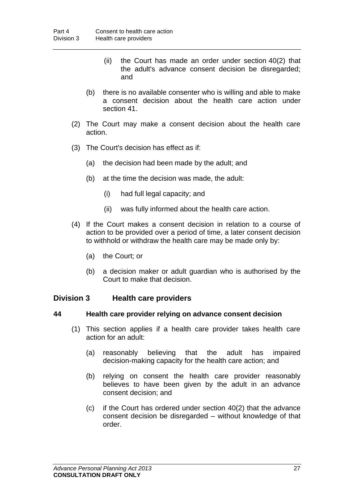- (ii) the Court has made an order under section [40\(](#page-28-0)2) that the adult's advance consent decision be disregarded; and
- (b) there is no available consenter who is willing and able to make a consent decision about the health care action under section [41.](#page-29-0)
- (2) The Court may make a consent decision about the health care action.
- (3) The Court's decision has effect as if:
	- (a) the decision had been made by the adult; and
	- (b) at the time the decision was made, the adult:
		- (i) had full legal capacity; and
		- (ii) was fully informed about the health care action.
- (4) If the Court makes a consent decision in relation to a course of action to be provided over a period of time, a later consent decision to withhold or withdraw the health care may be made only by:
	- (a) the Court; or
	- (b) a decision maker or adult guardian who is authorised by the Court to make that decision.

## **Division 3 Health care providers**

### **44 Health care provider relying on advance consent decision**

- (1) This section applies if a health care provider takes health care action for an adult:
	- (a) reasonably believing that the adult has impaired decision-making capacity for the health care action; and
	- (b) relying on consent the health care provider reasonably believes to have been given by the adult in an advance consent decision; and
	- (c) if the Court has ordered under section [40\(](#page-28-0)2) that the advance consent decision be disregarded – without knowledge of that order.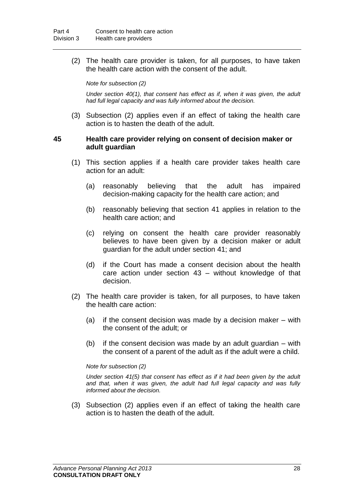(2) The health care provider is taken, for all purposes, to have taken the health care action with the consent of the adult.

*Note for subsection (2)*

*Under section [40\(](#page-28-0)1), that consent has effect as if, when it was given, the adult had full legal capacity and was fully informed about the decision.*

(3) Subsection (2) applies even if an effect of taking the health care action is to hasten the death of the adult.

#### **45 Health care provider relying on consent of decision maker or adult guardian**

- (1) This section applies if a health care provider takes health care action for an adult:
	- (a) reasonably believing that the adult has impaired decision-making capacity for the health care action; and
	- (b) reasonably believing that section [41](#page-29-0) applies in relation to the health care action; and
	- (c) relying on consent the health care provider reasonably believes to have been given by a decision maker or adult guardian for the adult under section [41;](#page-29-0) and
	- (d) if the Court has made a consent decision about the health care action under section [43](#page-31-1) – without knowledge of that decision.
- (2) The health care provider is taken, for all purposes, to have taken the health care action:
	- (a) if the consent decision was made by a decision maker with the consent of the adult; or
	- (b) if the consent decision was made by an adult guardian with the consent of a parent of the adult as if the adult were a child.

#### *Note for subsection (2)*

*Under section [41\(](#page-29-0)5) that consent has effect as if it had been given by the adult and that, when it was given, the adult had full legal capacity and was fully informed about the decision.*

(3) Subsection (2) applies even if an effect of taking the health care action is to hasten the death of the adult.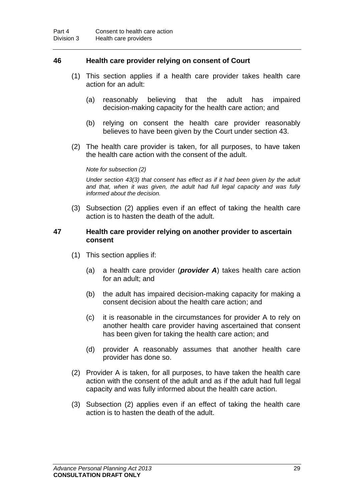### **46 Health care provider relying on consent of Court**

- (1) This section applies if a health care provider takes health care action for an adult:
	- (a) reasonably believing that the adult has impaired decision-making capacity for the health care action; and
	- (b) relying on consent the health care provider reasonably believes to have been given by the Court under section [43.](#page-31-1)
- (2) The health care provider is taken, for all purposes, to have taken the health care action with the consent of the adult.

*Note for subsection (2)*

*Under section [43\(](#page-31-1)3) that consent has effect as if it had been given by the adult and that, when it was given, the adult had full legal capacity and was fully informed about the decision.*

(3) Subsection (2) applies even if an effect of taking the health care action is to hasten the death of the adult.

#### **47 Health care provider relying on another provider to ascertain consent**

- (1) This section applies if:
	- (a) a health care provider (*provider A*) takes health care action for an adult; and
	- (b) the adult has impaired decision-making capacity for making a consent decision about the health care action; and
	- (c) it is reasonable in the circumstances for provider A to rely on another health care provider having ascertained that consent has been given for taking the health care action; and
	- (d) provider A reasonably assumes that another health care provider has done so.
- (2) Provider A is taken, for all purposes, to have taken the health care action with the consent of the adult and as if the adult had full legal capacity and was fully informed about the health care action.
- (3) Subsection (2) applies even if an effect of taking the health care action is to hasten the death of the adult.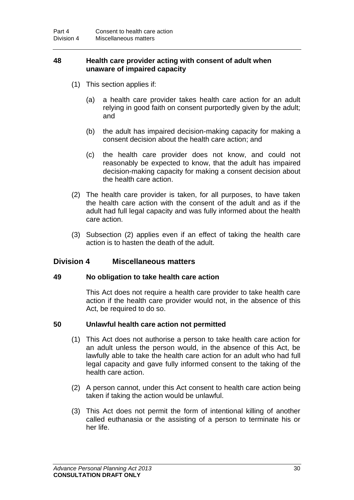### **48 Health care provider acting with consent of adult when unaware of impaired capacity**

- (1) This section applies if:
	- (a) a health care provider takes health care action for an adult relying in good faith on consent purportedly given by the adult; and
	- (b) the adult has impaired decision-making capacity for making a consent decision about the health care action; and
	- (c) the health care provider does not know, and could not reasonably be expected to know, that the adult has impaired decision-making capacity for making a consent decision about the health care action.
- (2) The health care provider is taken, for all purposes, to have taken the health care action with the consent of the adult and as if the adult had full legal capacity and was fully informed about the health care action.
- (3) Subsection (2) applies even if an effect of taking the health care action is to hasten the death of the adult.

## **Division 4 Miscellaneous matters**

### **49 No obligation to take health care action**

This Act does not require a health care provider to take health care action if the health care provider would not, in the absence of this Act, be required to do so.

### **50 Unlawful health care action not permitted**

- (1) This Act does not authorise a person to take health care action for an adult unless the person would, in the absence of this Act, be lawfully able to take the health care action for an adult who had full legal capacity and gave fully informed consent to the taking of the health care action.
- (2) A person cannot, under this Act consent to health care action being taken if taking the action would be unlawful.
- (3) This Act does not permit the form of intentional killing of another called euthanasia or the assisting of a person to terminate his or her life.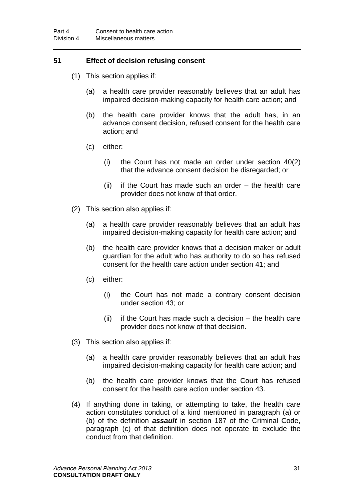## **51 Effect of decision refusing consent**

- (1) This section applies if:
	- (a) a health care provider reasonably believes that an adult has impaired decision-making capacity for health care action; and
	- (b) the health care provider knows that the adult has, in an advance consent decision, refused consent for the health care action; and
	- (c) either:
		- (i) the Court has not made an order under section [40\(](#page-28-0)2) that the advance consent decision be disregarded; or
		- (ii) if the Court has made such an order the health care provider does not know of that order.
- (2) This section also applies if:
	- (a) a health care provider reasonably believes that an adult has impaired decision-making capacity for health care action; and
	- (b) the health care provider knows that a decision maker or adult guardian for the adult who has authority to do so has refused consent for the health care action under section [41;](#page-29-0) and
	- (c) either:
		- (i) the Court has not made a contrary consent decision under section [43;](#page-31-1) or
		- (ii) if the Court has made such a decision the health care provider does not know of that decision.
- (3) This section also applies if:
	- (a) a health care provider reasonably believes that an adult has impaired decision-making capacity for health care action; and
	- (b) the health care provider knows that the Court has refused consent for the health care action under section [43.](#page-31-1)
- (4) If anything done in taking, or attempting to take, the health care action constitutes conduct of a kind mentioned in paragraph (a) or (b) of the definition *assault* in section 187 of the Criminal Code, paragraph (c) of that definition does not operate to exclude the conduct from that definition.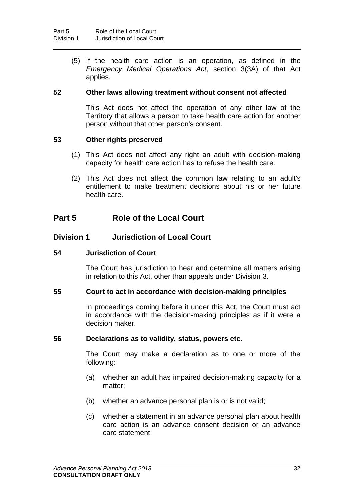(5) If the health care action is an operation, as defined in the *Emergency Medical Operations Act*, section 3(3A) of that Act applies.

### **52 Other laws allowing treatment without consent not affected**

This Act does not affect the operation of any other law of the Territory that allows a person to take health care action for another person without that other person's consent.

#### **53 Other rights preserved**

- (1) This Act does not affect any right an adult with decision-making capacity for health care action has to refuse the health care.
- (2) This Act does not affect the common law relating to an adult's entitlement to make treatment decisions about his or her future health care.

## **Part 5 Role of the Local Court**

## **Division 1 Jurisdiction of Local Court**

#### **54 Jurisdiction of Court**

The Court has jurisdiction to hear and determine all matters arising in relation to this Act, other than appeals under Division 3.

#### **55 Court to act in accordance with decision-making principles**

In proceedings coming before it under this Act, the Court must act in accordance with the decision-making principles as if it were a decision maker.

#### **56 Declarations as to validity, status, powers etc.**

The Court may make a declaration as to one or more of the following:

- (a) whether an adult has impaired decision-making capacity for a matter;
- (b) whether an advance personal plan is or is not valid;
- (c) whether a statement in an advance personal plan about health care action is an advance consent decision or an advance care statement;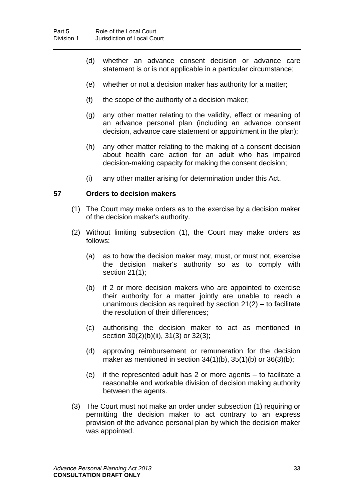- (d) whether an advance consent decision or advance care statement is or is not applicable in a particular circumstance;
- (e) whether or not a decision maker has authority for a matter;
- (f) the scope of the authority of a decision maker;
- (g) any other matter relating to the validity, effect or meaning of an advance personal plan (including an advance consent decision, advance care statement or appointment in the plan);
- (h) any other matter relating to the making of a consent decision about health care action for an adult who has impaired decision-making capacity for making the consent decision;
- (i) any other matter arising for determination under this Act.

#### <span id="page-38-0"></span>**57 Orders to decision makers**

- (1) The Court may make orders as to the exercise by a decision maker of the decision maker's authority.
- (2) Without limiting subsection (1), the Court may make orders as follows:
	- (a) as to how the decision maker may, must, or must not, exercise the decision maker's authority so as to comply with section [21\(](#page-16-1)1);
	- (b) if 2 or more decision makers who are appointed to exercise their authority for a matter jointly are unable to reach a unanimous decision as required by section  $21(2)$  – to facilitate the resolution of their differences;
	- (c) authorising the decision maker to act as mentioned in section [30\(](#page-22-0)2)(b)(ii), [31\(](#page-23-0)3) or [32\(](#page-24-0)3);
	- (d) approving reimbursement or remuneration for the decision maker as mentioned in section  $34(1)(b)$ ,  $35(1)(b)$  or  $36(3)(b)$ ;
	- (e) if the represented adult has 2 or more agents to facilitate a reasonable and workable division of decision making authority between the agents.
- (3) The Court must not make an order under subsection (1) requiring or permitting the decision maker to act contrary to an express provision of the advance personal plan by which the decision maker was appointed.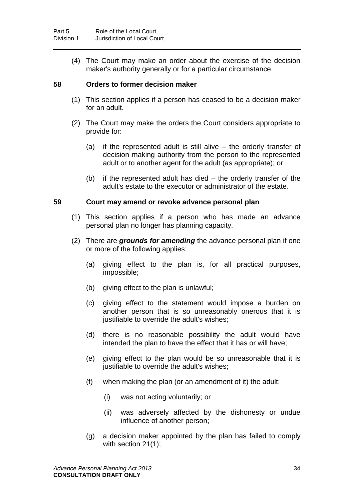(4) The Court may make an order about the exercise of the decision maker's authority generally or for a particular circumstance.

### <span id="page-39-1"></span>**58 Orders to former decision maker**

- (1) This section applies if a person has ceased to be a decision maker for an adult.
- (2) The Court may make the orders the Court considers appropriate to provide for:
	- (a) if the represented adult is still alive the orderly transfer of decision making authority from the person to the represented adult or to another agent for the adult (as appropriate); or
	- (b) if the represented adult has died the orderly transfer of the adult's estate to the executor or administrator of the estate.

#### <span id="page-39-0"></span>**59 Court may amend or revoke advance personal plan**

- (1) This section applies if a person who has made an advance personal plan no longer has planning capacity.
- (2) There are *grounds for amending* the advance personal plan if one or more of the following applies:
	- (a) giving effect to the plan is, for all practical purposes, impossible;
	- (b) giving effect to the plan is unlawful;
	- (c) giving effect to the statement would impose a burden on another person that is so unreasonably onerous that it is justifiable to override the adult's wishes;
	- (d) there is no reasonable possibility the adult would have intended the plan to have the effect that it has or will have;
	- (e) giving effect to the plan would be so unreasonable that it is justifiable to override the adult's wishes;
	- (f) when making the plan (or an amendment of it) the adult:
		- (i) was not acting voluntarily; or
		- (ii) was adversely affected by the dishonesty or undue influence of another person;
	- (g) a decision maker appointed by the plan has failed to comply with section [21\(](#page-16-1)1);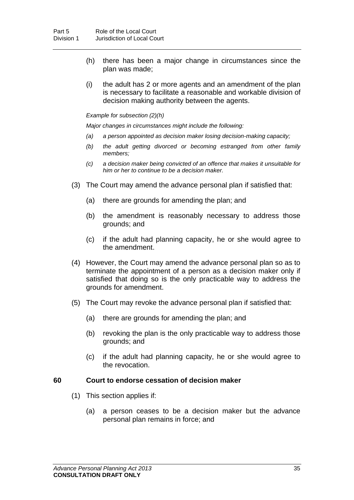- (h) there has been a major change in circumstances since the plan was made;
- (i) the adult has 2 or more agents and an amendment of the plan is necessary to facilitate a reasonable and workable division of decision making authority between the agents.

#### *Example for subsection (2)(h)*

*Major changes in circumstances might include the following:*

- *(a) a person appointed as decision maker losing decision-making capacity;*
- *(b) the adult getting divorced or becoming estranged from other family members;*
- *(c) a decision maker being convicted of an offence that makes it unsuitable for him or her to continue to be a decision maker.*
- (3) The Court may amend the advance personal plan if satisfied that:
	- (a) there are grounds for amending the plan; and
	- (b) the amendment is reasonably necessary to address those grounds; and
	- (c) if the adult had planning capacity, he or she would agree to the amendment.
- (4) However, the Court may amend the advance personal plan so as to terminate the appointment of a person as a decision maker only if satisfied that doing so is the only practicable way to address the grounds for amendment.
- (5) The Court may revoke the advance personal plan if satisfied that:
	- (a) there are grounds for amending the plan; and
	- (b) revoking the plan is the only practicable way to address those grounds; and
	- (c) if the adult had planning capacity, he or she would agree to the revocation.

#### **60 Court to endorse cessation of decision maker**

- (1) This section applies if:
	- (a) a person ceases to be a decision maker but the advance personal plan remains in force; and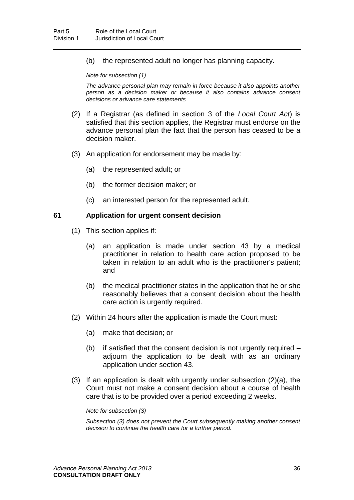(b) the represented adult no longer has planning capacity.

*Note for subsection (1)*

*The advance personal plan may remain in force because it also appoints another person as a decision maker or because it also contains advance consent decisions or advance care statements.*

- (2) If a Registrar (as defined in section 3 of the *Local Court Act*) is satisfied that this section applies, the Registrar must endorse on the advance personal plan the fact that the person has ceased to be a decision maker.
- (3) An application for endorsement may be made by:
	- (a) the represented adult; or
	- (b) the former decision maker; or
	- (c) an interested person for the represented adult.

#### **61 Application for urgent consent decision**

- (1) This section applies if:
	- (a) an application is made under section [43](#page-31-1) by a medical practitioner in relation to health care action proposed to be taken in relation to an adult who is the practitioner's patient; and
	- (b) the medical practitioner states in the application that he or she reasonably believes that a consent decision about the health care action is urgently required.
- (2) Within 24 hours after the application is made the Court must:
	- (a) make that decision; or
	- (b) if satisfied that the consent decision is not urgently required adjourn the application to be dealt with as an ordinary application under section [43.](#page-31-1)
- (3) If an application is dealt with urgently under subsection (2)(a), the Court must not make a consent decision about a course of health care that is to be provided over a period exceeding 2 weeks.

#### *Note for subsection (3)*

*Subsection (3) does not prevent the Court subsequently making another consent decision to continue the health care for a further period.*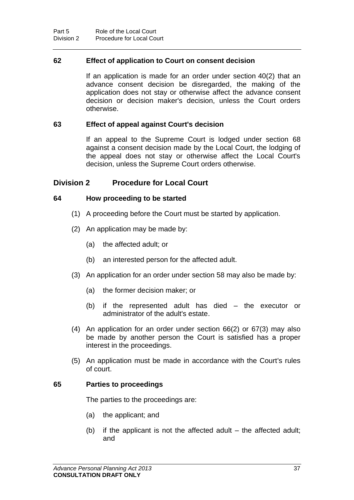### **62 Effect of application to Court on consent decision**

If an application is made for an order under section [40\(](#page-28-0)2) that an advance consent decision be disregarded, the making of the application does not stay or otherwise affect the advance consent decision or decision maker's decision, unless the Court orders otherwise.

### **63 Effect of appeal against Court's decision**

If an appeal to the Supreme Court is lodged under section [68](#page-44-0) against a consent decision made by the Local Court, the lodging of the appeal does not stay or otherwise affect the Local Court's decision, unless the Supreme Court orders otherwise.

## **Division 2 Procedure for Local Court**

### **64 How proceeding to be started**

- (1) A proceeding before the Court must be started by application.
- (2) An application may be made by:
	- (a) the affected adult; or
	- (b) an interested person for the affected adult.
- (3) An application for an order under section [58](#page-39-1) may also be made by:
	- (a) the former decision maker; or
	- (b) if the represented adult has died the executor or administrator of the adult's estate.
- (4) An application for an order under section [66\(](#page-43-0)2) or [67\(](#page-43-1)3) may also be made by another person the Court is satisfied has a proper interest in the proceedings.
- (5) An application must be made in accordance with the Court's rules of court.

### **65 Parties to proceedings**

The parties to the proceedings are:

- (a) the applicant; and
- (b) if the applicant is not the affected adult the affected adult; and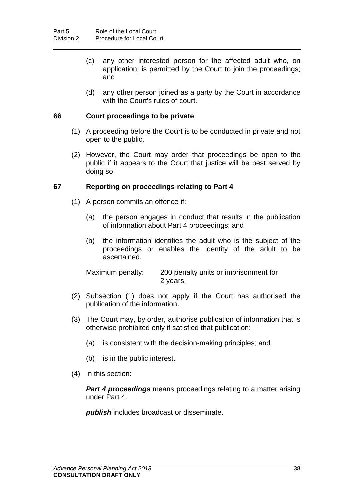- (c) any other interested person for the affected adult who, on application, is permitted by the Court to join the proceedings; and
- (d) any other person joined as a party by the Court in accordance with the Court's rules of court.

### <span id="page-43-0"></span>**66 Court proceedings to be private**

- (1) A proceeding before the Court is to be conducted in private and not open to the public.
- (2) However, the Court may order that proceedings be open to the public if it appears to the Court that justice will be best served by doing so.

#### <span id="page-43-1"></span>**67 Reporting on proceedings relating to Part 4**

- (1) A person commits an offence if:
	- (a) the person engages in conduct that results in the publication of information about Part 4 proceedings; and
	- (b) the information identifies the adult who is the subject of the proceedings or enables the identity of the adult to be ascertained.

Maximum penalty: 200 penalty units or imprisonment for 2 years.

- (2) Subsection (1) does not apply if the Court has authorised the publication of the information.
- (3) The Court may, by order, authorise publication of information that is otherwise prohibited only if satisfied that publication:
	- (a) is consistent with the decision-making principles; and
	- (b) is in the public interest.
- (4) In this section:

*Part 4 proceedings* means proceedings relating to a matter arising under Part 4.

*publish* includes broadcast or disseminate.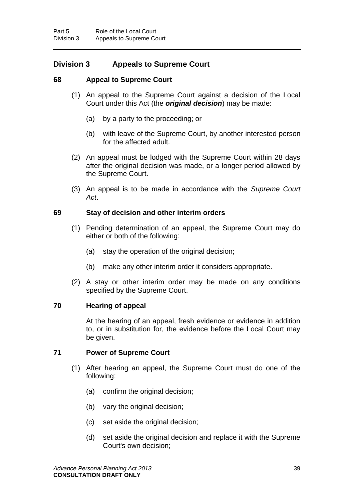## **Division 3 Appeals to Supreme Court**

### <span id="page-44-0"></span>**68 Appeal to Supreme Court**

- (1) An appeal to the Supreme Court against a decision of the Local Court under this Act (the *original decision*) may be made:
	- (a) by a party to the proceeding; or
	- (b) with leave of the Supreme Court, by another interested person for the affected adult.
- (2) An appeal must be lodged with the Supreme Court within 28 days after the original decision was made, or a longer period allowed by the Supreme Court.
- (3) An appeal is to be made in accordance with the *Supreme Court Act*.

#### **69 Stay of decision and other interim orders**

- (1) Pending determination of an appeal, the Supreme Court may do either or both of the following:
	- (a) stay the operation of the original decision;
	- (b) make any other interim order it considers appropriate.
- (2) A stay or other interim order may be made on any conditions specified by the Supreme Court.

#### **70 Hearing of appeal**

At the hearing of an appeal, fresh evidence or evidence in addition to, or in substitution for, the evidence before the Local Court may be given.

### **71 Power of Supreme Court**

- (1) After hearing an appeal, the Supreme Court must do one of the following:
	- (a) confirm the original decision;
	- (b) vary the original decision;
	- (c) set aside the original decision;
	- (d) set aside the original decision and replace it with the Supreme Court's own decision;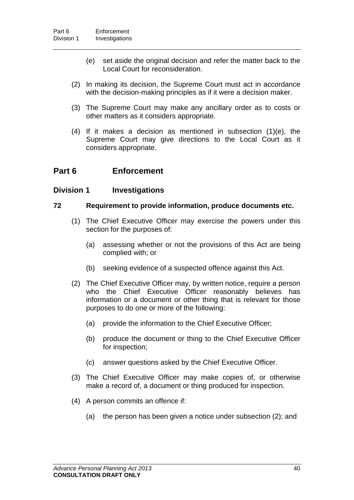- (e) set aside the original decision and refer the matter back to the Local Court for reconsideration.
- (2) In making its decision, the Supreme Court must act in accordance with the decision-making principles as if it were a decision maker.
- (3) The Supreme Court may make any ancillary order as to costs or other matters as it considers appropriate.
- (4) If it makes a decision as mentioned in subsection (1)(e), the Supreme Court may give directions to the Local Court as it considers appropriate.

## **Part 6 Enforcement**

## **Division 1 Investigations**

### **72 Requirement to provide information, produce documents etc.**

- (1) The Chief Executive Officer may exercise the powers under this section for the purposes of:
	- (a) assessing whether or not the provisions of this Act are being complied with; or
	- (b) seeking evidence of a suspected offence against this Act.
- (2) The Chief Executive Officer may, by written notice, require a person who the Chief Executive Officer reasonably believes has information or a document or other thing that is relevant for those purposes to do one or more of the following:
	- (a) provide the information to the Chief Executive Officer;
	- (b) produce the document or thing to the Chief Executive Officer for inspection;
	- (c) answer questions asked by the Chief Executive Officer.
- (3) The Chief Executive Officer may make copies of, or otherwise make a record of, a document or thing produced for inspection.
- (4) A person commits an offence if:
	- (a) the person has been given a notice under subsection (2); and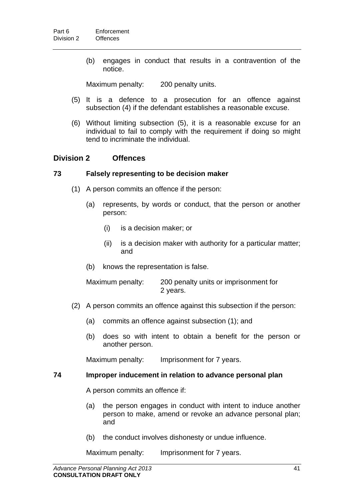(b) engages in conduct that results in a contravention of the notice.

Maximum penalty: 200 penalty units.

- (5) It is a defence to a prosecution for an offence against subsection (4) if the defendant establishes a reasonable excuse.
- (6) Without limiting subsection (5), it is a reasonable excuse for an individual to fail to comply with the requirement if doing so might tend to incriminate the individual.

## **Division 2 Offences**

#### <span id="page-46-0"></span>**73 Falsely representing to be decision maker**

- (1) A person commits an offence if the person:
	- (a) represents, by words or conduct, that the person or another person:
		- (i) is a decision maker; or
		- (ii) is a decision maker with authority for a particular matter; and
	- (b) knows the representation is false.

Maximum penalty: 200 penalty units or imprisonment for 2 years.

- (2) A person commits an offence against this subsection if the person:
	- (a) commits an offence against subsection (1); and
	- (b) does so with intent to obtain a benefit for the person or another person.

Maximum penalty: Imprisonment for 7 years.

#### <span id="page-46-1"></span>**74 Improper inducement in relation to advance personal plan**

A person commits an offence if:

- (a) the person engages in conduct with intent to induce another person to make, amend or revoke an advance personal plan; and
- (b) the conduct involves dishonesty or undue influence.

Maximum penalty: Imprisonment for 7 years.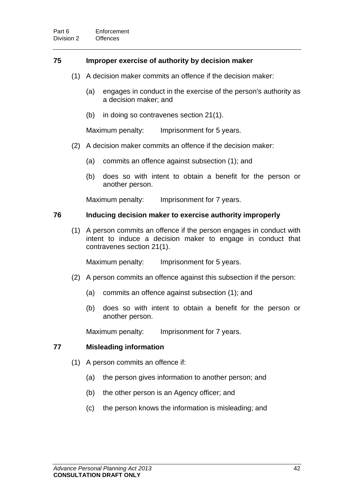### <span id="page-47-0"></span>**75 Improper exercise of authority by decision maker**

- (1) A decision maker commits an offence if the decision maker:
	- (a) engages in conduct in the exercise of the person's authority as a decision maker; and
	- (b) in doing so contravenes section [21\(](#page-16-1)1).

Maximum penalty: Imprisonment for 5 years.

- (2) A decision maker commits an offence if the decision maker:
	- (a) commits an offence against subsection (1); and
	- (b) does so with intent to obtain a benefit for the person or another person.

Maximum penalty: Imprisonment for 7 years.

### <span id="page-47-1"></span>**76 Inducing decision maker to exercise authority improperly**

(1) A person commits an offence if the person engages in conduct with intent to induce a decision maker to engage in conduct that contravenes section [21\(](#page-16-1)1).

Maximum penalty: Imprisonment for 5 years.

- (2) A person commits an offence against this subsection if the person:
	- (a) commits an offence against subsection (1); and
	- (b) does so with intent to obtain a benefit for the person or another person.

Maximum penalty: Imprisonment for 7 years.

### **77 Misleading information**

- (1) A person commits an offence if:
	- (a) the person gives information to another person; and
	- (b) the other person is an Agency officer; and
	- (c) the person knows the information is misleading; and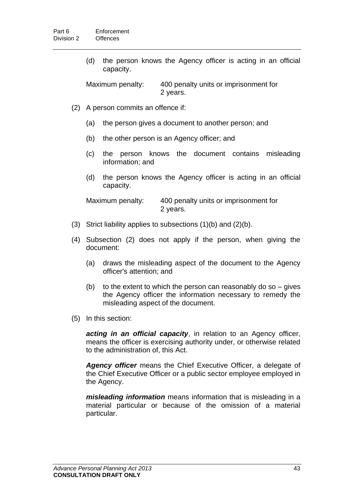(d) the person knows the Agency officer is acting in an official capacity.

Maximum penalty: 400 penalty units or imprisonment for 2 years.

- (2) A person commits an offence if:
	- (a) the person gives a document to another person; and
	- (b) the other person is an Agency officer; and
	- (c) the person knows the document contains misleading information; and
	- (d) the person knows the Agency officer is acting in an official capacity.

Maximum penalty: 400 penalty units or imprisonment for 2 years.

- (3) Strict liability applies to subsections (1)(b) and (2)(b).
- (4) Subsection (2) does not apply if the person, when giving the document:
	- (a) draws the misleading aspect of the document to the Agency officer's attention; and
	- (b) to the extent to which the person can reasonably do so  $-$  gives the Agency officer the information necessary to remedy the misleading aspect of the document.
- (5) In this section:

*acting in an official capacity*, in relation to an Agency officer, means the officer is exercising authority under, or otherwise related to the administration of, this Act.

*Agency officer* means the Chief Executive Officer, a delegate of the Chief Executive Officer or a public sector employee employed in the Agency.

*misleading information* means information that is misleading in a material particular or because of the omission of a material particular.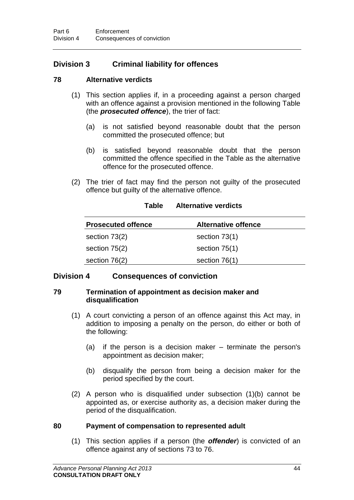## **Division 3 Criminal liability for offences**

## **78 Alternative verdicts**

- (1) This section applies if, in a proceeding against a person charged with an offence against a provision mentioned in the following Table (the *prosecuted offence*), the trier of fact:
	- (a) is not satisfied beyond reasonable doubt that the person committed the prosecuted offence; but
	- (b) is satisfied beyond reasonable doubt that the person committed the offence specified in the Table as the alternative offence for the prosecuted offence.
- (2) The trier of fact may find the person not guilty of the prosecuted offence but guilty of the alternative offence.

| <b>Prosecuted offence</b> | <b>Alternative offence</b> |
|---------------------------|----------------------------|
| section 73(2)             | section $73(1)$            |
| section 75(2)             | section $75(1)$            |
| section $76(2)$           | section $76(1)$            |

### **Table Alternative verdicts**

## **Division 4 Consequences of conviction**

### **79 Termination of appointment as decision maker and disqualification**

- (1) A court convicting a person of an offence against this Act may, in addition to imposing a penalty on the person, do either or both of the following:
	- (a) if the person is a decision maker terminate the person's appointment as decision maker;
	- (b) disqualify the person from being a decision maker for the period specified by the court.
- (2) A person who is disqualified under subsection (1)(b) cannot be appointed as, or exercise authority as, a decision maker during the period of the disqualification.

## **80 Payment of compensation to represented adult**

(1) This section applies if a person (the *offender*) is convicted of an offence against any of sections [73](#page-46-0) to [76.](#page-47-1)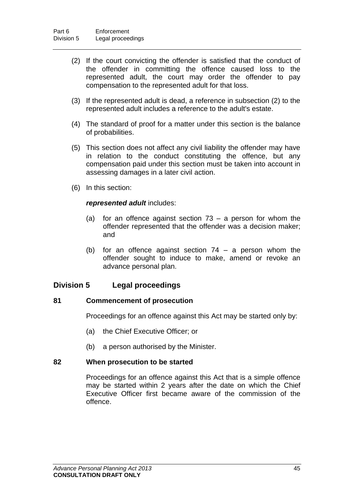- (2) If the court convicting the offender is satisfied that the conduct of the offender in committing the offence caused loss to the represented adult, the court may order the offender to pay compensation to the represented adult for that loss.
- (3) If the represented adult is dead, a reference in subsection (2) to the represented adult includes a reference to the adult's estate.
- (4) The standard of proof for a matter under this section is the balance of probabilities.
- (5) This section does not affect any civil liability the offender may have in relation to the conduct constituting the offence, but any compensation paid under this section must be taken into account in assessing damages in a later civil action.
- (6) In this section:

### *represented adult* includes:

- (a) for an offence against section [73](#page-46-0) a person for whom the offender represented that the offender was a decision maker; and
- (b) for an offence against section [74](#page-46-1) a person whom the offender sought to induce to make, amend or revoke an advance personal plan.

## **Division 5 Legal proceedings**

### **81 Commencement of prosecution**

Proceedings for an offence against this Act may be started only by:

- (a) the Chief Executive Officer; or
- (b) a person authorised by the Minister.

### **82 When prosecution to be started**

Proceedings for an offence against this Act that is a simple offence may be started within 2 years after the date on which the Chief Executive Officer first became aware of the commission of the offence.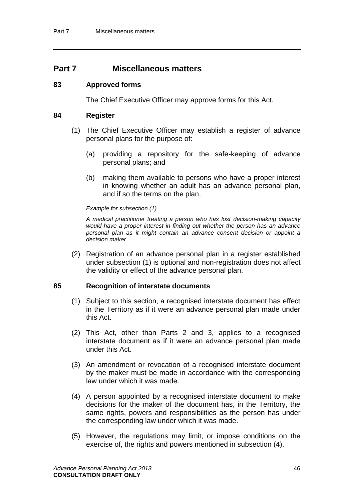## **Part 7 Miscellaneous matters**

#### <span id="page-51-0"></span>**83 Approved forms**

The Chief Executive Officer may approve forms for this Act.

#### **84 Register**

- (1) The Chief Executive Officer may establish a register of advance personal plans for the purpose of:
	- (a) providing a repository for the safe-keeping of advance personal plans; and
	- (b) making them available to persons who have a proper interest in knowing whether an adult has an advance personal plan, and if so the terms on the plan.

#### *Example for subsection (1)*

*A medical practitioner treating a person who has lost decision-making capacity would have a proper interest in finding out whether the person has an advance personal plan as it might contain an advance consent decision or appoint a decision maker.*

(2) Registration of an advance personal plan in a register established under subsection (1) is optional and non-registration does not affect the validity or effect of the advance personal plan.

#### **85 Recognition of interstate documents**

- (1) Subject to this section, a recognised interstate document has effect in the Territory as if it were an advance personal plan made under this Act.
- (2) This Act, other than Parts 2 and 3, applies to a recognised interstate document as if it were an advance personal plan made under this Act.
- (3) An amendment or revocation of a recognised interstate document by the maker must be made in accordance with the corresponding law under which it was made.
- (4) A person appointed by a recognised interstate document to make decisions for the maker of the document has, in the Territory, the same rights, powers and responsibilities as the person has under the corresponding law under which it was made.
- (5) However, the regulations may limit, or impose conditions on the exercise of, the rights and powers mentioned in subsection (4).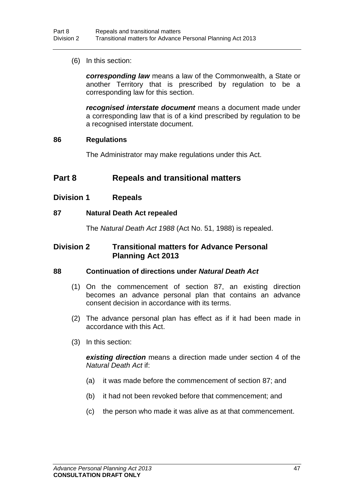(6) In this section:

*corresponding law* means a law of the Commonwealth, a State or another Territory that is prescribed by regulation to be a corresponding law for this section.

*recognised interstate document* means a document made under a corresponding law that is of a kind prescribed by regulation to be a recognised interstate document.

#### **86 Regulations**

The Administrator may make regulations under this Act.

## **Part 8 Repeals and transitional matters**

**Division 1 Repeals**

### <span id="page-52-0"></span>**87 Natural Death Act repealed**

The *Natural Death Act 1988* (Act No. 51, 1988) is repealed.

## **Division 2 Transitional matters for Advance Personal Planning Act 2013**

### **88 Continuation of directions under** *Natural Death Act*

- (1) On the commencement of section [87,](#page-52-0) an existing direction becomes an advance personal plan that contains an advance consent decision in accordance with its terms.
- (2) The advance personal plan has effect as if it had been made in accordance with this Act.
- (3) In this section:

*existing direction* means a direction made under section 4 of the *Natural Death Act* if:

- (a) it was made before the commencement of section [87;](#page-52-0) and
- (b) it had not been revoked before that commencement; and
- (c) the person who made it was alive as at that commencement.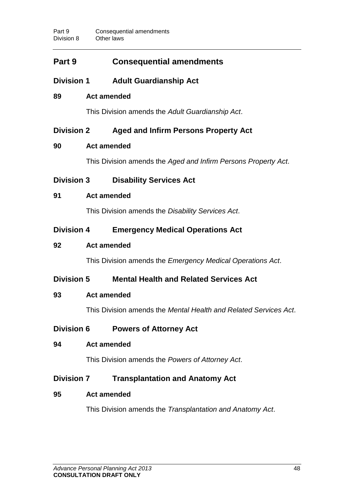# **Part 9 Consequential amendments**

**Division 1 Adult Guardianship Act**

## **89 Act amended**

This Division amends the *Adult Guardianship Act*.

## **Division 2 Aged and Infirm Persons Property Act**

## **90 Act amended**

This Division amends the *Aged and Infirm Persons Property Act*.

**Division 3 Disability Services Act**

## **91 Act amended**

This Division amends the *Disability Services Act*.

## **Division 4 Emergency Medical Operations Act**

## **92 Act amended**

This Division amends the *Emergency Medical Operations Act*.

## **Division 5 Mental Health and Related Services Act**

## **93 Act amended**

This Division amends the *Mental Health and Related Services Act*.

- **Division 6 Powers of Attorney Act**
- **94 Act amended**

This Division amends the *Powers of Attorney Act*.

## **Division 7 Transplantation and Anatomy Act**

## **95 Act amended**

This Division amends the *Transplantation and Anatomy Act*.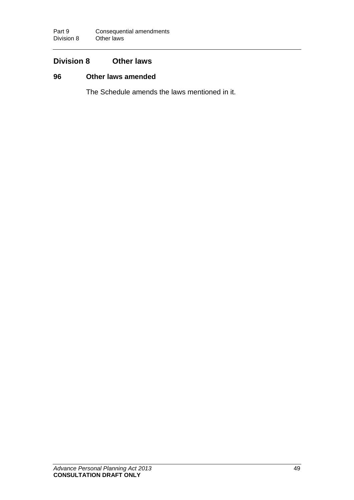# **Division 8 Other laws**

## <span id="page-54-0"></span>**96 Other laws amended**

The Schedule amends the laws mentioned in it.